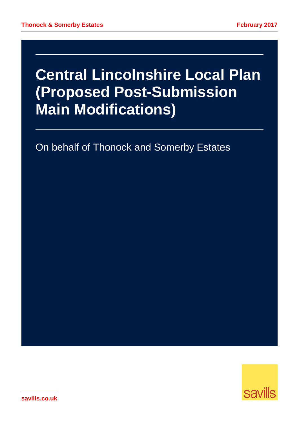# **Central Lincolnshire Local Plan (Proposed Post-Submission Main Modifications)**

On behalf of Thonock and Somerby Estates



**savills.co.uk**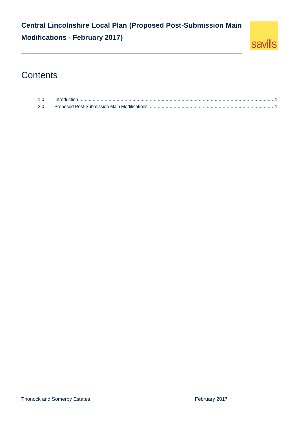### **Central Lincolnshire Local Plan (Proposed Post-Submission Main Modifications - February 2017)**



### **Contents**

| 10  |  |
|-----|--|
| 2.0 |  |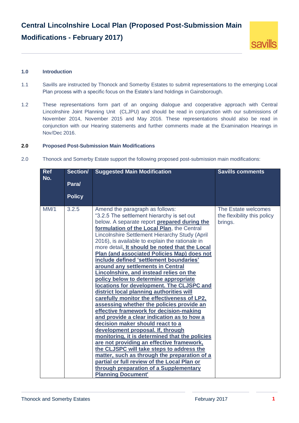### **Central Lincolnshire Local Plan (Proposed Post-Submission Main Modifications - February 2017)**



#### <span id="page-2-0"></span>**1.0 Introduction**

- 1.1 Savills are instructed by Thonock and Somerby Estates to submit representations to the emerging Local Plan process with a specific focus on the Estate's land holdings in Gainsborough.
- 1.2 These representations form part of an ongoing dialogue and cooperative approach with Central Lincolnshire Joint Planning Unit (CLJPU) and should be read in conjunction with our submissions of November 2014, November 2015 and May 2016. These representations should also be read in conjunction with our Hearing statements and further comments made at the Examination Hearings in Nov/Dec 2016.

#### <span id="page-2-1"></span>**2.0 Proposed Post-Submission Main Modifications**

2.0 Thonock and Somerby Estate support the following proposed post-submission main modifications:

| <b>Ref</b><br>No. | Section/      | <b>Suggested Main Modification</b>                                                                                                                                                                                                                                                                                                                                                                                                                                                                                                                                                                                                                                                                                                                                                                                                                                                                                                                                                                                                                                                                                                                                                                                             | <b>Savills comments</b>                                       |
|-------------------|---------------|--------------------------------------------------------------------------------------------------------------------------------------------------------------------------------------------------------------------------------------------------------------------------------------------------------------------------------------------------------------------------------------------------------------------------------------------------------------------------------------------------------------------------------------------------------------------------------------------------------------------------------------------------------------------------------------------------------------------------------------------------------------------------------------------------------------------------------------------------------------------------------------------------------------------------------------------------------------------------------------------------------------------------------------------------------------------------------------------------------------------------------------------------------------------------------------------------------------------------------|---------------------------------------------------------------|
|                   | Para/         |                                                                                                                                                                                                                                                                                                                                                                                                                                                                                                                                                                                                                                                                                                                                                                                                                                                                                                                                                                                                                                                                                                                                                                                                                                |                                                               |
|                   | <b>Policy</b> |                                                                                                                                                                                                                                                                                                                                                                                                                                                                                                                                                                                                                                                                                                                                                                                                                                                                                                                                                                                                                                                                                                                                                                                                                                |                                                               |
| MM/1              | 3.2.5         | Amend the paragraph as follows:<br>"3.2.5 The settlement hierarchy is set out<br>below. A separate report prepared during the<br>formulation of the Local Plan, the Central<br>Lincolnshire Settlement Hierarchy Study (April<br>2016), is available to explain the rationale in<br>more detail. It should be noted that the Local<br>Plan (and associated Policies Map) does not<br>include defined 'settlement boundaries'<br>around any settlements in Central<br>Lincolnshire, and instead relies on the<br>policy below to determine appropriate<br>locations for development. The CLJSPC and<br>district local planning authorities will<br>carefully monitor the effectiveness of LP2,<br>assessing whether the policies provide an<br>effective framework for decision-making<br>and provide a clear indication as to how a<br>decision maker should react to a<br>development proposal. If, through<br>monitoring, it is determined that the policies<br>are not providing an effective framework,<br>the CLJSPC will take steps to address the<br>matter, such as through the preparation of a<br>partial or full review of the Local Plan or<br>through preparation of a Supplementary<br><b>Planning Document'</b> | The Estate welcomes<br>the flexibility this policy<br>brings. |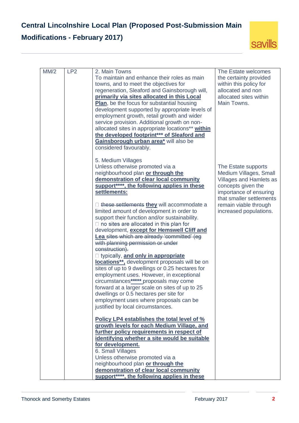

| MM/2 | LP <sub>2</sub> | 2. Main Towns<br>To maintain and enhance their roles as main<br>towns, and to meet the objectives for<br>regeneration, Sleaford and Gainsborough will,<br>primarily via sites allocated in this Local<br><b>Plan,</b> be the focus for substantial housing<br>development supported by appropriate levels of<br>employment growth, retail growth and wider<br>service provision. Additional growth on non-<br>allocated sites in appropriate locations** within<br>the developed footprint*** of Sleaford and<br>Gainsborough urban area* will also be<br>considered favourably. | The Estate welcomes<br>the certainty provided<br>within this policy for<br>allocated and non<br>allocated sites within<br>Main Towns.                                                                          |
|------|-----------------|----------------------------------------------------------------------------------------------------------------------------------------------------------------------------------------------------------------------------------------------------------------------------------------------------------------------------------------------------------------------------------------------------------------------------------------------------------------------------------------------------------------------------------------------------------------------------------|----------------------------------------------------------------------------------------------------------------------------------------------------------------------------------------------------------------|
|      |                 | 5. Medium Villages<br>Unless otherwise promoted via a<br>neighbourhood plan or through the<br>demonstration of clear local community<br>support****, the following applies in these<br>settlements:<br>$\Box$ these settlements they will accommodate a<br>limited amount of development in order to<br>support their function and/or sustainability.<br>$\Box$ no sites are allocated in this plan for<br>development, except for Hemswell Cliff and<br>Lea sites which are already 'committed' (eg<br>with planning permission or under                                        | The Estate supports<br>Medium Villages, Small<br><b>Villages and Hamlets as</b><br>concepts given the<br>importance of ensuring<br>that smaller settlements<br>remain viable through<br>increased populations. |
|      |                 | construction).<br>□ typically, and only in appropriate<br>locations**, development proposals will be on<br>sites of up to 9 dwellings or 0.25 hectares for<br>employment uses. However, in exceptional<br>circumstances****** proposals may come<br>forward at a larger scale on sites of up to 25<br>dwellings or 0.5 hectares per site for<br>employment uses where proposals can be<br>justified by local circumstances.                                                                                                                                                      |                                                                                                                                                                                                                |
|      |                 | Policy LP4 establishes the total level of %<br>growth levels for each Medium Village, and<br>further policy requirements in respect of<br>identifying whether a site would be suitable<br>for development.<br>6. Small Villages<br>Unless otherwise promoted via a<br>neighbourhood plan or through the<br>demonstration of clear local community<br>support****, the following applies in these                                                                                                                                                                                 |                                                                                                                                                                                                                |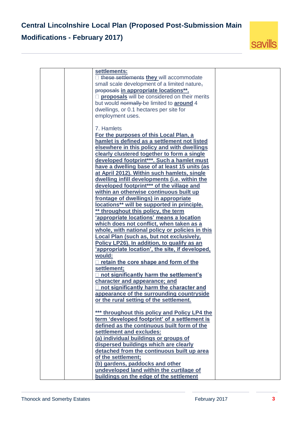

| settlements:                                                                         |  |
|--------------------------------------------------------------------------------------|--|
| □ these settlements they will accommodate                                            |  |
| small scale development of a limited nature,                                         |  |
| proposals in appropriate locations**.                                                |  |
| proposals will be considered on their merits                                         |  |
| but would normally be limited to <b>around</b> 4                                     |  |
| dwellings, or 0.1 hectares per site for                                              |  |
| employment uses.                                                                     |  |
|                                                                                      |  |
| 7. Hamlets                                                                           |  |
| For the purposes of this Local Plan, a                                               |  |
| hamlet is defined as a settlement not listed                                         |  |
| elsewhere in this policy and with dwellings                                          |  |
| clearly clustered together to form a single                                          |  |
| developed footprint***. Such a hamlet must                                           |  |
| have a dwelling base of at least 15 units (as                                        |  |
| at April 2012). Within such hamlets, single                                          |  |
| dwelling infill developments (i.e. within the                                        |  |
| developed footprint*** of the village and                                            |  |
| within an otherwise continuous built up                                              |  |
| frontage of dwellings) in appropriate                                                |  |
| locations** will be supported in principle.                                          |  |
| ** throughout this policy, the term                                                  |  |
| 'appropriate locations' means a location                                             |  |
| which does not conflict, when taken as a                                             |  |
| whole, with national policy or policies in this                                      |  |
| Local Plan (such as, but not exclusively,                                            |  |
| Policy LP26). In addition, to qualify as an                                          |  |
| 'appropriate location', the site, if developed,                                      |  |
| would:                                                                               |  |
| retain the core shape and form of the                                                |  |
| settlement;                                                                          |  |
| not significantly harm the settlement's                                              |  |
|                                                                                      |  |
| character and appearance; and<br>not significantly harm the character and            |  |
|                                                                                      |  |
| appearance of the surrounding countryside<br>or the rural setting of the settlement. |  |
|                                                                                      |  |
| *** throughout this policy and Policy LP4 the                                        |  |
| term 'developed footprint' of a settlement is                                        |  |
| defined as the continuous built form of the                                          |  |
| settlement and excludes:                                                             |  |
| (a) individual buildings or groups of                                                |  |
| dispersed buildings which are clearly                                                |  |
| detached from the continuous built up area                                           |  |
| of the settlement;                                                                   |  |
| (b) gardens, paddocks and other                                                      |  |
| undeveloped land within the curtilage of                                             |  |
| buildings on the edge of the settlement                                              |  |
|                                                                                      |  |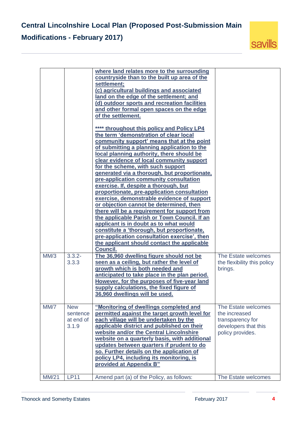

|       |                                              | where land relates more to the surrounding<br>countryside than to the built up area of the<br>settlement;<br>(c) agricultural buildings and associated<br>land on the edge of the settlement; and<br>(d) outdoor sports and recreation facilities<br>and other formal open spaces on the edge<br>of the settlement.                                                                                                                          |                                                                                                      |
|-------|----------------------------------------------|----------------------------------------------------------------------------------------------------------------------------------------------------------------------------------------------------------------------------------------------------------------------------------------------------------------------------------------------------------------------------------------------------------------------------------------------|------------------------------------------------------------------------------------------------------|
|       |                                              | **** throughout this policy and Policy LP4<br>the term 'demonstration of clear local<br>community support' means that at the point<br>of submitting a planning application to the<br>local planning authority, there should be<br>clear evidence of local community support                                                                                                                                                                  |                                                                                                      |
|       |                                              | for the scheme, with such support<br>generated via a thorough, but proportionate,<br>pre-application community consultation<br>exercise. If, despite a thorough, but<br>proportionate, pre-application consultation                                                                                                                                                                                                                          |                                                                                                      |
|       |                                              | exercise, demonstrable evidence of support<br>or objection cannot be determined, then<br>there will be a requirement for support from<br>the applicable Parish or Town Council. If an<br>applicant is in doubt as to what would<br>constitute a 'thorough, but proportionate,                                                                                                                                                                |                                                                                                      |
|       |                                              | pre-application consultation exercise', then<br>the applicant should contact the applicable<br><b>Council.</b>                                                                                                                                                                                                                                                                                                                               |                                                                                                      |
| MM/3  | $3.3.2 -$<br>3.3.3                           | The 36,960 dwelling figure should not be<br>seen as a ceiling, but rather the level of<br>growth which is both needed and<br>anticipated to take place in the plan period.<br>However, for the purposes of five-year land<br>supply calculations, the fixed figure of<br>36,960 dwellings will be used.                                                                                                                                      | The Estate welcomes<br>the flexibility this policy<br>brings.                                        |
| MM/7  | <b>New</b><br>sentence<br>at end of<br>3.1.9 | "Monitoring of dwellings completed and<br>permitted against the target growth level for<br>each village will be undertaken by the<br>applicable district and published on their<br>website and/or the Central Lincolnshire<br>website on a quarterly basis, with additional<br>updates between quarters if prudent to do<br>so. Further details on the application of<br>policy LP4, including its monitoring, is<br>provided at Appendix B" | The Estate welcomes<br>the increased<br>transparency for<br>developers that this<br>policy provides. |
| MM/21 | <b>LP11</b>                                  | Amend part (a) of the Policy, as follows:                                                                                                                                                                                                                                                                                                                                                                                                    | The Estate welcomes                                                                                  |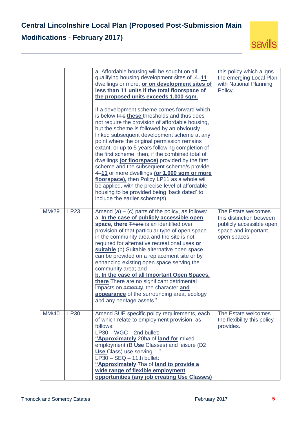

|              |             | a. Affordable housing will be sought on all<br>qualifying housing development sites of -4-11<br>dwellings or more, or on development sites of<br>less than 11 units if the total floorspace of<br>the proposed units exceeds 1,000 sqm.<br>If a development scheme comes forward which<br>is below this these thresholds and thus does<br>not require the provision of affordable housing,<br>but the scheme is followed by an obviously<br>linked subsequent development scheme at any<br>point where the original permission remains<br>extant, or up to 5 years following completion of<br>the first scheme, then, if the combined total of<br>dwellings (or floorspace) provided by the first<br>scheme and the subsequent scheme/s provide<br>4-11 or more dwellings (or 1,000 sam or more<br>floorspace), then Policy LP11 as a whole will<br>be applied, with the precise level of affordable<br>housing to be provided being 'back dated' to<br>include the earlier scheme(s). | this policy which aligns<br>the emerging Local Plan<br>with National Planning<br>Policy.                           |
|--------------|-------------|----------------------------------------------------------------------------------------------------------------------------------------------------------------------------------------------------------------------------------------------------------------------------------------------------------------------------------------------------------------------------------------------------------------------------------------------------------------------------------------------------------------------------------------------------------------------------------------------------------------------------------------------------------------------------------------------------------------------------------------------------------------------------------------------------------------------------------------------------------------------------------------------------------------------------------------------------------------------------------------|--------------------------------------------------------------------------------------------------------------------|
| <b>MM/29</b> | <b>LP23</b> | Amend (a) $-$ (c) parts of the policy, as follows:<br>a. In the case of publicly accessible open<br>space, there There is an identified over<br>provision of that particular type of open space<br>in the community area and the site is not<br>required for alternative recreational uses or<br>suitable (b) Suitable alternative open space<br>can be provided on a replacement site or by<br>enhancing existing open space serving the<br>community area; and<br>b. In the case of all Important Open Spaces,<br>there There are no significant detrimental<br>impacts on amenity, the character and<br>appearance of the surrounding area, ecology<br>and any heritage assets."                                                                                                                                                                                                                                                                                                    | The Estate welcomes<br>this distinction between<br>publicly accessible open<br>space and important<br>open spaces. |
| <b>MM/40</b> | <b>LP30</b> | Amend SUE specific policy requirements, each<br>of which relate to employment provision, as<br>follows:<br>$LP30 - WGC - 2nd bullet:$<br>"Approximately 20ha of land for mixed<br>employment (B Use Classes) and leisure (D2<br>Use Class) use serving"<br>$LP30 - SEQ - 11$ th bullet:<br>"Approximately 7ha of land to provide a<br>wide range of flexible employment<br>opportunities (any job creating Use Classes)                                                                                                                                                                                                                                                                                                                                                                                                                                                                                                                                                                | The Estate welcomes<br>the flexibility this policy<br>provides.                                                    |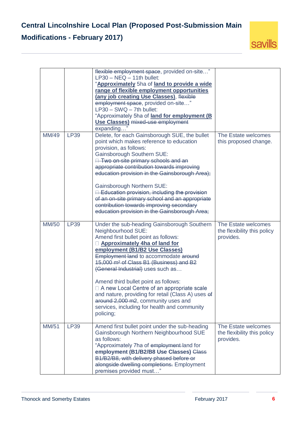

|              |             | flexible employment space, provided on-site"<br>$LP30 - NEQ - 11$ th bullet:<br>"Approximately 5ha of land to provide a wide<br>range of flexible employment opportunities<br>(any job creating Use Classes), flexible<br>employment space, provided on-site"<br>$LP30 - SWQ - 7th bullet:$<br>"Approximately 5ha of land for employment (B<br><b>Use Classes) mixed-use employment</b><br>expanding                                                                                                                                                                                 |                                                                 |
|--------------|-------------|--------------------------------------------------------------------------------------------------------------------------------------------------------------------------------------------------------------------------------------------------------------------------------------------------------------------------------------------------------------------------------------------------------------------------------------------------------------------------------------------------------------------------------------------------------------------------------------|-----------------------------------------------------------------|
| <b>MM/49</b> | <b>LP39</b> | Delete, for each Gainsborough SUE, the bullet<br>point which makes reference to education<br>provision, as follows:<br><b>Gainsborough Southern SUE:</b><br><b>Two on-site primary schools and an</b><br>appropriate contribution towards improving<br>education provision in the Gainsborough Area);<br><b>Gainsborough Northern SUE:</b><br>$\Box$ Education provision, including the provision<br>of an on-site primary school and an appropriate<br>contribution towards improving secondary<br>education provision in the Gainsborough Area;                                    | The Estate welcomes<br>this proposed change.                    |
| MM/50        | <b>LP39</b> | Under the sub-heading Gainsborough Southern<br>Neighbourhood SUE:<br>Amend first bullet point as follows:<br><b>Example 2</b> Approximately 4ha of land for<br>employment (B1/B2 Use Classes)<br>Employment land to accommodate around<br>15,000 m <sup>2</sup> of Class B1 (Business) and B2<br>(General Industrial) uses such as<br>Amend third bullet point as follows:<br>□ A new Local Centre of an appropriate scale<br>and nature, providing for retail (Class A) uses of<br>around 2,000 m2, community uses and<br>services, including for health and community<br>policing: | The Estate welcomes<br>the flexibility this policy<br>provides. |
| MM/51        | <b>LP39</b> | Amend first bullet point under the sub-heading<br>Gainsborough Northern Neighbourhood SUE<br>as follows:<br>"Approximately 7ha of employment-land for<br>employment (B1/B2/B8 Use Classes) Class<br>B1/B2/B8, with delivery phased before or<br>alongside dwelling completions. Employment<br>premises provided must"                                                                                                                                                                                                                                                                | The Estate welcomes<br>the flexibility this policy<br>provides. |